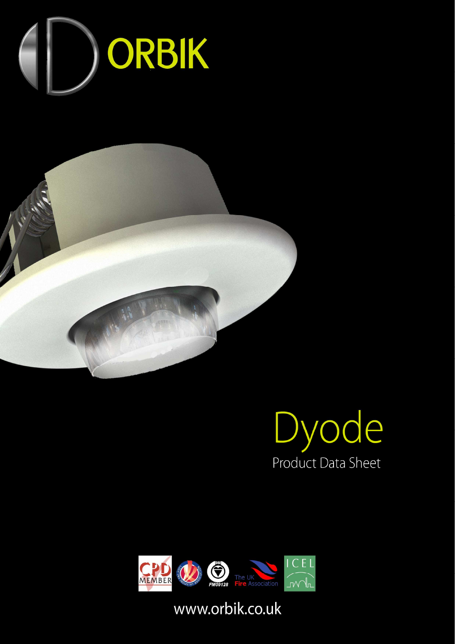







## www.orbik.co.uk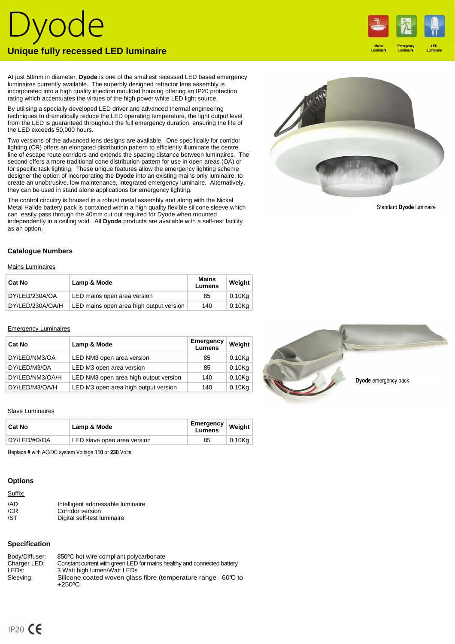# Dyode **Unique fully recessed LED luminaire**

At just 50mm in diameter, **Dyode** is one of the smallest recessed LED based emergency luminaires currently available. The superbly designed refractor lens assembly is incorporated into a high quality injection moulded housing offering an IP20 protection rating which accentuates the virtues of the high power white LED light source.

By utilising a specially developed LED driver and advanced thermal engineering techniques to dramatically reduce the LED operating temperature, the light output level from the LED is guaranteed throughout the full emergency duration, ensuring the life of the LED exceeds 50,000 hours.

Two versions of the advanced lens designs are available. One specifically for corridor lighting (CR) offers an elongated distribution pattern to efficiently illuminate the centre line of escape route corridors and extends the spacing distance between luminaires. The second offers a more traditional cone distribution pattern for use in open areas (OA) or for specific task lighting. These unique features allow the emergency lighting scheme designer the option of incorporating the **Dyode** into an existing mains only luminaire, to create an unobtrusive, low maintenance, integrated emergency luminaire. Alternatively, they can be used in stand alone applications for emergency lighting.

The control circuitry is housed in a robust metal assembly and along with the Nickel Metal Halide battery pack is contained within a high quality flexible silicone sleeve which can easily pass through the 40mm cut out required for Dyode when mounted independently in a ceiling void. All **Dyode** products are available with a self-test facility as an option.

## **Catalogue Numbers**

Mains Luminaires

| <b>Cat No</b>    | Lamp & Mode                             | Mains<br>Lumens | Weight    |
|------------------|-----------------------------------------|-----------------|-----------|
| DY/LED/230A/OA   | LED mains open area version             | 85              | 0.10Ka    |
| DY/LED/230A/OA/H | LED mains open area high output version | 140             | $0.10$ Kg |

#### Emergency Luminaires

| Cat No          | Lamp & Mode                           | Emergency<br>Lumens | Weight    |
|-----------------|---------------------------------------|---------------------|-----------|
| DY/LED/NM3/OA   | LED NM3 open area version             | 85                  | $0.10$ Kg |
| DY/LED/M3/OA    | LED M3 open area version              | 85                  | $0.10$ Kg |
| DY/LED/NM3/OA/H | LED NM3 open area high output version | 140                 | $0.10$ Kg |
| DY/LED/M3/OA/H  | LED M3 open area high output version  | 140                 | $0.10$ Kg |

### Slave Luminaires

| <b>Cat No</b> | Lamp & Mode                 | ∣ Emergency ∣ Weigh <del>≀</del><br>Lumens |        |
|---------------|-----------------------------|--------------------------------------------|--------|
| DY/LED/#D/OA  | LED slave open area version | 85                                         | 0.10Kg |
|               |                             |                                            |        |

Replace **#** with AC/DC system Voltage **110** or **230** Volts

## **Options**

| Suffix: |                                   |
|---------|-----------------------------------|
| /AD     | Intelligent addressable luminaire |
| /CR     | Corridor version                  |
| /ST     | Digital self-test luminaire       |

## **Specification**

| Body/Diffuser: | 850°C hot wire compliant polycarbonate                                                   |
|----------------|------------------------------------------------------------------------------------------|
| Charger LED:   | Constant current with green LED for mains healthy and connected battery                  |
| LEDs:          | 3 Watt high lumen/Watt LEDs                                                              |
| Sleeving:      | Silicone coated woven glass fibre (temperature range $-60\degree$ to<br>$+250^{\circ}$ C |